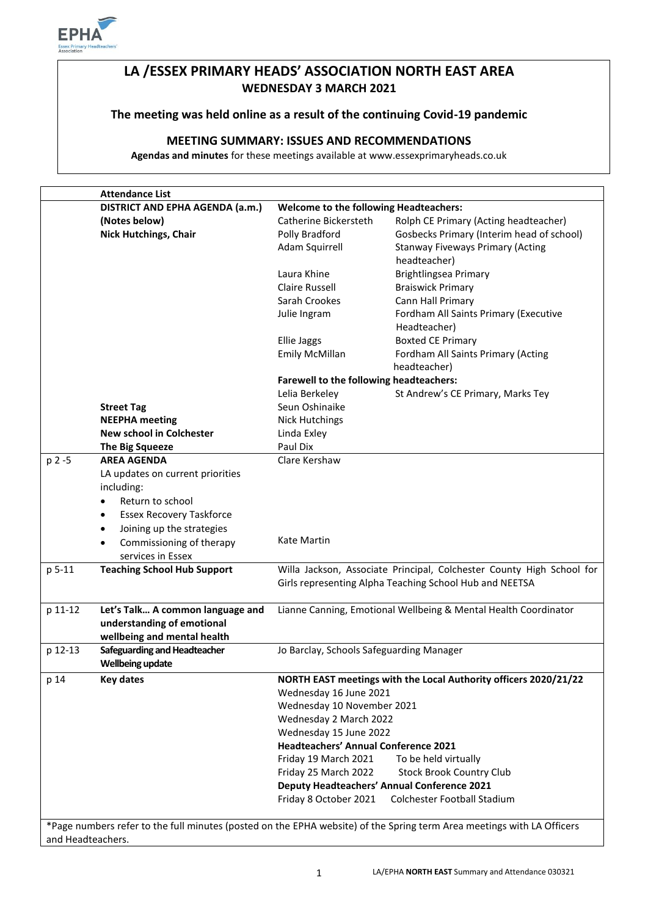

# **LA /ESSEX PRIMARY HEADS' ASSOCIATION NORTH EAST AREA WEDNESDAY 3 MARCH 2021**

### **The meeting was held online as a result of the continuing Covid-19 pandemic**

## **MEETING SUMMARY: ISSUES AND RECOMMENDATIONS**

**Agendas and minutes** for these meetings available at www.essexprimaryheads.co.uk

|                                                                                                                                             | <b>Attendance List</b>                                  |                                                                                                                                  |                                                                  |  |
|---------------------------------------------------------------------------------------------------------------------------------------------|---------------------------------------------------------|----------------------------------------------------------------------------------------------------------------------------------|------------------------------------------------------------------|--|
|                                                                                                                                             | DISTRICT AND EPHA AGENDA (a.m.)                         | <b>Welcome to the following Headteachers:</b>                                                                                    |                                                                  |  |
|                                                                                                                                             | (Notes below)                                           | Catherine Bickersteth                                                                                                            | Rolph CE Primary (Acting headteacher)                            |  |
|                                                                                                                                             | <b>Nick Hutchings, Chair</b>                            | Polly Bradford                                                                                                                   | Gosbecks Primary (Interim head of school)                        |  |
|                                                                                                                                             |                                                         | Adam Squirrell                                                                                                                   | <b>Stanway Fiveways Primary (Acting</b>                          |  |
|                                                                                                                                             |                                                         |                                                                                                                                  | headteacher)                                                     |  |
|                                                                                                                                             |                                                         | Laura Khine                                                                                                                      | Brightlingsea Primary                                            |  |
|                                                                                                                                             |                                                         | <b>Claire Russell</b>                                                                                                            | <b>Braiswick Primary</b>                                         |  |
|                                                                                                                                             |                                                         | Sarah Crookes                                                                                                                    | Cann Hall Primary                                                |  |
|                                                                                                                                             |                                                         | Julie Ingram                                                                                                                     | Fordham All Saints Primary (Executive                            |  |
|                                                                                                                                             |                                                         |                                                                                                                                  | Headteacher)                                                     |  |
|                                                                                                                                             |                                                         | <b>Ellie Jaggs</b>                                                                                                               | <b>Boxted CE Primary</b>                                         |  |
|                                                                                                                                             |                                                         | <b>Emily McMillan</b>                                                                                                            | Fordham All Saints Primary (Acting<br>headteacher)               |  |
|                                                                                                                                             | Farewell to the following headteachers:                 |                                                                                                                                  |                                                                  |  |
|                                                                                                                                             |                                                         | Lelia Berkeley                                                                                                                   | St Andrew's CE Primary, Marks Tey                                |  |
|                                                                                                                                             | <b>Street Tag</b>                                       | Seun Oshinaike                                                                                                                   |                                                                  |  |
|                                                                                                                                             | <b>NEEPHA</b> meeting                                   | <b>Nick Hutchings</b>                                                                                                            |                                                                  |  |
|                                                                                                                                             | <b>New school in Colchester</b>                         | Linda Exley                                                                                                                      |                                                                  |  |
|                                                                                                                                             | <b>The Big Squeeze</b>                                  | Paul Dix                                                                                                                         |                                                                  |  |
| p 2 -5                                                                                                                                      | <b>AREA AGENDA</b>                                      | Clare Kershaw                                                                                                                    |                                                                  |  |
|                                                                                                                                             | LA updates on current priorities                        |                                                                                                                                  |                                                                  |  |
|                                                                                                                                             | including:                                              |                                                                                                                                  |                                                                  |  |
|                                                                                                                                             | Return to school<br>$\bullet$                           |                                                                                                                                  |                                                                  |  |
|                                                                                                                                             | <b>Essex Recovery Taskforce</b><br>$\bullet$            |                                                                                                                                  |                                                                  |  |
|                                                                                                                                             | Joining up the strategies<br>$\bullet$                  |                                                                                                                                  |                                                                  |  |
|                                                                                                                                             | Commissioning of therapy<br>$\bullet$                   | Kate Martin                                                                                                                      |                                                                  |  |
|                                                                                                                                             | services in Essex                                       |                                                                                                                                  |                                                                  |  |
| p 5-11                                                                                                                                      | <b>Teaching School Hub Support</b>                      | Willa Jackson, Associate Principal, Colchester County High School for<br>Girls representing Alpha Teaching School Hub and NEETSA |                                                                  |  |
| p 11-12                                                                                                                                     | Let's Talk A common language and                        | Lianne Canning, Emotional Wellbeing & Mental Health Coordinator                                                                  |                                                                  |  |
|                                                                                                                                             | understanding of emotional                              |                                                                                                                                  |                                                                  |  |
|                                                                                                                                             | wellbeing and mental health                             |                                                                                                                                  |                                                                  |  |
| p 12-13                                                                                                                                     | Safeguarding and Headteacher<br><b>Wellbeing update</b> | Jo Barclay, Schools Safeguarding Manager                                                                                         |                                                                  |  |
| p 14                                                                                                                                        | <b>Key dates</b>                                        |                                                                                                                                  | NORTH EAST meetings with the Local Authority officers 2020/21/22 |  |
|                                                                                                                                             |                                                         | Wednesday 16 June 2021                                                                                                           |                                                                  |  |
|                                                                                                                                             |                                                         | Wednesday 10 November 2021                                                                                                       |                                                                  |  |
|                                                                                                                                             |                                                         | Wednesday 2 March 2022                                                                                                           |                                                                  |  |
|                                                                                                                                             |                                                         | Wednesday 15 June 2022                                                                                                           |                                                                  |  |
|                                                                                                                                             |                                                         | <b>Headteachers' Annual Conference 2021</b>                                                                                      |                                                                  |  |
|                                                                                                                                             |                                                         | Friday 19 March 2021                                                                                                             | To be held virtually                                             |  |
|                                                                                                                                             |                                                         | Friday 25 March 2022                                                                                                             | <b>Stock Brook Country Club</b>                                  |  |
|                                                                                                                                             |                                                         | Deputy Headteachers' Annual Conference 2021                                                                                      |                                                                  |  |
|                                                                                                                                             |                                                         | Friday 8 October 2021                                                                                                            | Colchester Football Stadium                                      |  |
|                                                                                                                                             |                                                         |                                                                                                                                  |                                                                  |  |
| *Page numbers refer to the full minutes (posted on the EPHA website) of the Spring term Area meetings with LA Officers<br>and Headteachers. |                                                         |                                                                                                                                  |                                                                  |  |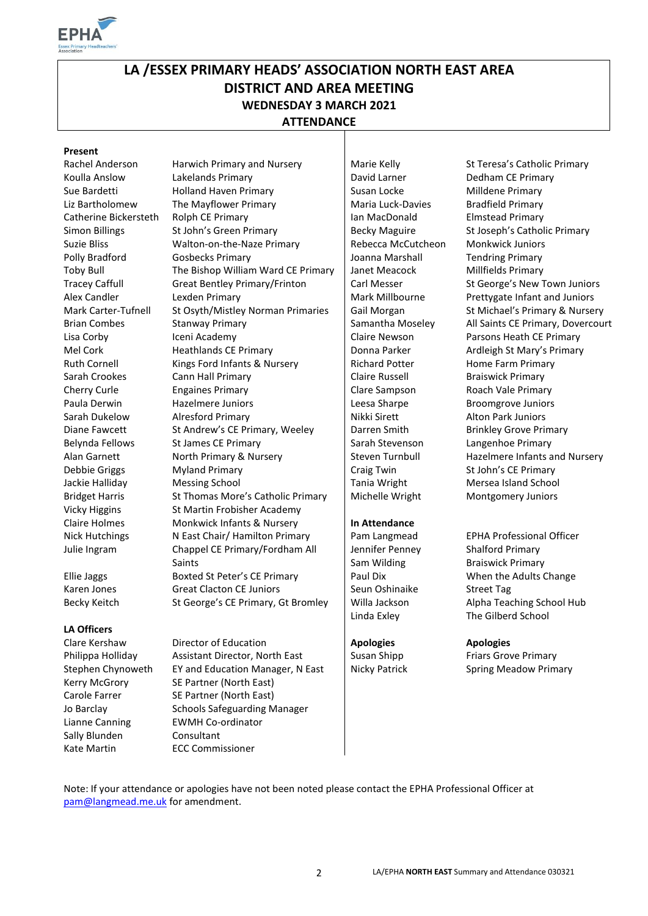

# **LA /ESSEX PRIMARY HEADS' ASSOCIATION NORTH EAST AREA DISTRICT AND AREA MEETING WEDNESDAY 3 MARCH 2021 ATTENDANCE**

#### **Present**

#### **LA Officers**

Sally Blunden Consultant Kate Martin ECC Commissioner

Rachel Anderson Harwich Primary and Nursery Harie Kelly St Teresa's Catholic Primary Koulla Anslow Lakelands Primary Lacker Lakelands Primary Lakelands Dedham CE Primary Sue Bardetti **Holland Haven Primary** Susan Locke Milldene Primary Liz Bartholomew The Mayflower Primary **Naria Luck-Davies Bradfield Primary Maria Luck-Davies** Bradfield Primary Catherine Bickersteth Rolph CE Primary **Ian MacDonald** Elmstead Primary Simon Billings St John's Green Primary Becky Maguire St Joseph's Catholic Primary Suzie Bliss Walton-on-the-Naze Primary Rebecca McCutcheon Monkwick Juniors Polly Bradford Gosbecks Primary Gost Joanna Marshall Tendring Primary Toby Bull The Bishop William Ward CE Primary Janet Meacock Millfields Primary Tracey Caffull Great Bentley Primary/Frinton Carl Messer St George's New Town Juniors Alex Candler Lexden Primary **Mark Millbourne** Prettygate Infant and Juniors Mark Carter-Tufnell St Osyth/Mistley Norman Primaries Gail Morgan St Michael's Primary & Nursery Brian Combes Stanway Primary Stanway Stanway Stanway Stanway Stanway Stanway Stanway Stanway Stanway Stanway S Lisa Corby **Iceni Academy Iceni Academy** Claire Newson Parsons Heath CE Primary Mel Cork **Heathlands CE Primary Figure 1** Donna Parker **Ardleigh St Mary's Primary** Ruth Cornell Kings Ford Infants & Nursery Richard Potter Home Farm Primary Sarah Crookes Cann Hall Primary Claire Russell Braiswick Primary Cherry Curle Engaines Primary Clare Sampson Roach Vale Primary Paula Derwin **Hazelmere Juniors** Leesa Sharpe Broomgrove Juniors Sarah Dukelow Alresford Primary Nikki Sirett Alton Park Juniors Diane Fawcett St Andrew's CE Primary, Weeley Darren Smith Brinkley Grove Primary Belynda Fellows St James CE Primary Sarah Stevenson Langenhoe Primary Alan Garnett North Primary & Nursery Steven Turnbull Hazelmere Infants and Nursery Debbie Griggs Myland Primary Craig Twin St John's CE Primary Jackie Halliday Messing School **Messing School** Tania Wright Mersea Island School Bridget Harris St Thomas More's Catholic Primary Nichelle Wright Montgomery Juniors Vicky Higgins St Martin Frobisher Academy Claire Holmes Monkwick Infants & Nursery **In Attendance**  Nick Hutchings Nicast Chair/ Hamilton Primary Pam Langmead EPHA Professional Officer Julie Ingram Chappel CE Primary/Fordham All Saints Ellie Jaggs Boxted St Peter's CE Primary Paul Dix When the Adults Change Karen Jones Great Clacton CE Juniors Seun Oshinaike Street Tag

Clare Kershaw Director of Education **Apologies Apologies** Philippa Holliday Assistant Director, North East Susan Shipp Friars Grove Primary Stephen Chynoweth EY and Education Manager, N East | Nicky Patrick Spring Meadow Primary Kerry McGrory SE Partner (North East) Carole Farrer SE Partner (North East) Jo Barclay Schools Safeguarding Manager Lianne Canning EWMH Co-ordinator

Jennifer Penney Sam Wilding

Shalford Primary Braiswick Primary Becky Keitch St George's CE Primary, Gt Bromley Willa Jackson Alpha Teaching School Hub Linda Exley The Gilberd School

Note: If your attendance or apologies have not been noted please contact the EPHA Professional Officer at [pam@langmead.me.uk](mailto:pam@langmead.me.uk) for amendment.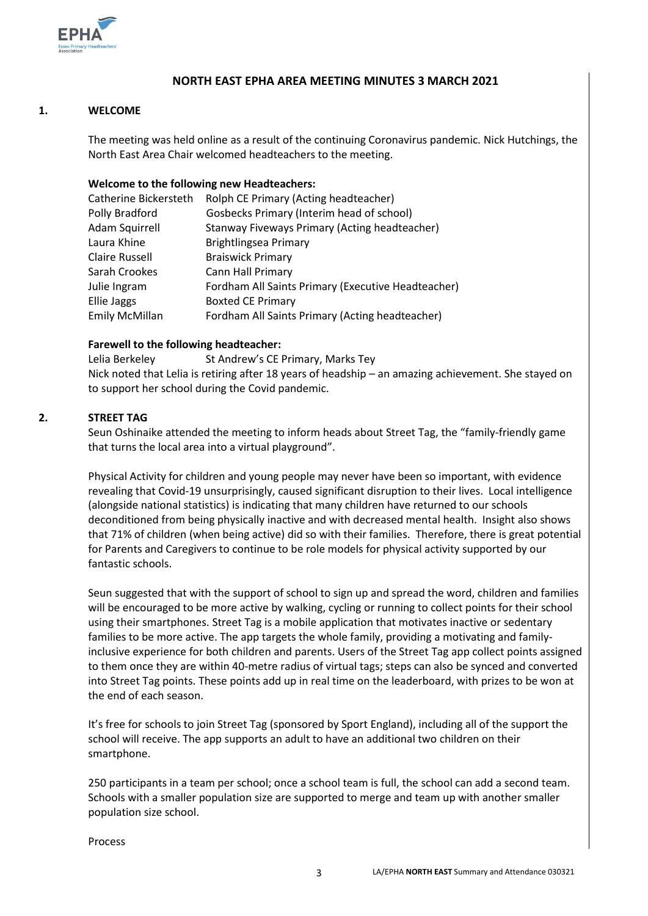

### **NORTH EAST EPHA AREA MEETING MINUTES 3 MARCH 2021**

#### **1. WELCOME**

The meeting was held online as a result of the continuing Coronavirus pandemic. Nick Hutchings, the North East Area Chair welcomed headteachers to the meeting.

#### **Welcome to the following new Headteachers:**

| Catherine Bickersteth | Rolph CE Primary (Acting headteacher)              |
|-----------------------|----------------------------------------------------|
| Polly Bradford        | Gosbecks Primary (Interim head of school)          |
| <b>Adam Squirrell</b> | Stanway Fiveways Primary (Acting headteacher)      |
| Laura Khine           | Brightlingsea Primary                              |
| <b>Claire Russell</b> | <b>Braiswick Primary</b>                           |
| Sarah Crookes         | <b>Cann Hall Primary</b>                           |
| Julie Ingram          | Fordham All Saints Primary (Executive Headteacher) |
| Ellie Jaggs           | <b>Boxted CE Primary</b>                           |
| <b>Emily McMillan</b> | Fordham All Saints Primary (Acting headteacher)    |

#### **Farewell to the following headteacher:**

Lelia Berkeley St Andrew's CE Primary, Marks Tey Nick noted that Lelia is retiring after 18 years of headship – an amazing achievement. She stayed on to support her school during the Covid pandemic.

#### **2. STREET TAG**

Seun Oshinaike attended the meeting to inform heads about Street Tag, the "family-friendly game that turns the local area into a virtual playground".

Physical Activity for children and young people may never have been so important, with evidence revealing that Covid-19 unsurprisingly, caused significant disruption to their lives. Local intelligence (alongside national statistics) is indicating that many children have returned to our schools deconditioned from being physically inactive and with decreased mental health. Insight also shows that 71% of children (when being active) did so with their families. Therefore, there is great potential for Parents and Caregivers to continue to be role models for physical activity supported by our fantastic schools.

Seun suggested that with the support of school to sign up and spread the word, children and families will be encouraged to be more active by walking, cycling or running to collect points for their school using their smartphones. Street Tag is a mobile application that motivates inactive or sedentary families to be more active. The app targets the whole family, providing a motivating and familyinclusive experience for both children and parents. Users of the Street Tag app collect points assigned to them once they are within 40-metre radius of virtual tags; steps can also be synced and converted into Street Tag points. These points add up in real time on the leaderboard, with prizes to be won at the end of each season.

It's free for schools to join Street Tag (sponsored by Sport England), including all of the support the school will receive. The app supports an adult to have an additional two children on their smartphone.

250 participants in a team per school; once a school team is full, the school can add a second team. Schools with a smaller population size are supported to merge and team up with another smaller population size school.

Process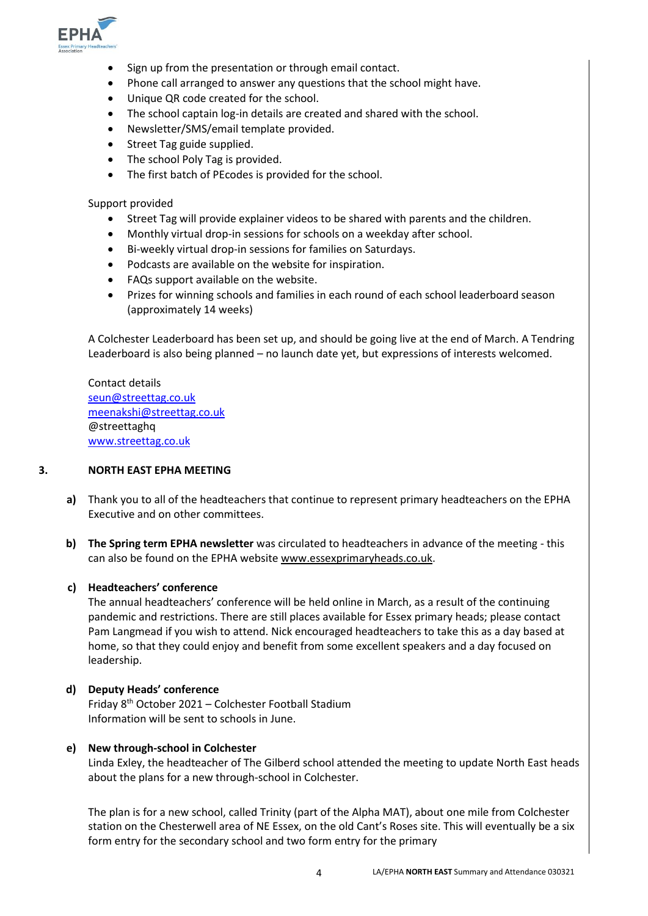

- Sign up from the presentation or through email contact.
- Phone call arranged to answer any questions that the school might have.
- Unique QR code created for the school.
- The school captain log-in details are created and shared with the school.
- Newsletter/SMS/email template provided.
- Street Tag guide supplied.
- The school Poly Tag is provided.
- The first batch of PEcodes is provided for the school.

Support provided

- Street Tag will provide explainer videos to be shared with parents and the children.
- Monthly virtual drop-in sessions for schools on a weekday after school.
- Bi-weekly virtual drop-in sessions for families on Saturdays.
- Podcasts are available on the website for inspiration.
- FAQs support available on the website.
- Prizes for winning schools and families in each round of each school leaderboard season (approximately 14 weeks)

A Colchester Leaderboard has been set up, and should be going live at the end of March. A Tendring Leaderboard is also being planned – no launch date yet, but expressions of interests welcomed.

Contact details [seun@streettag.co.uk](mailto:seun@streettag.co.uk) [meenakshi@streettag.co.uk](mailto:meenakshi@streettag.co.uk) @streettaghq [www.streettag.co.uk](http://www.streettag.co.uk/)

#### **3. NORTH EAST EPHA MEETING**

- **a)** Thank you to all of the headteachers that continue to represent primary headteachers on the EPHA Executive and on other committees.
- **b) The Spring term EPHA newsletter** was circulated to headteachers in advance of the meeting this can also be found on the EPHA website [www.essexprimaryheads.co.uk.](http://www.essexprimaryheads.co.uk/)

#### **c) Headteachers' conference**

The annual headteachers' conference will be held online in March, as a result of the continuing pandemic and restrictions. There are still places available for Essex primary heads; please contact Pam Langmead if you wish to attend. Nick encouraged headteachers to take this as a day based at home, so that they could enjoy and benefit from some excellent speakers and a day focused on leadership.

#### **d) Deputy Heads' conference**

Friday 8th October 2021 – Colchester Football Stadium Information will be sent to schools in June.

#### **e) New through-school in Colchester**

Linda Exley, the headteacher of The Gilberd school attended the meeting to update North East heads about the plans for a new through-school in Colchester.

The plan is for a new school, called Trinity (part of the Alpha MAT), about one mile from Colchester station on the Chesterwell area of NE Essex, on the old Cant's Roses site. This will eventually be a six form entry for the secondary school and two form entry for the primary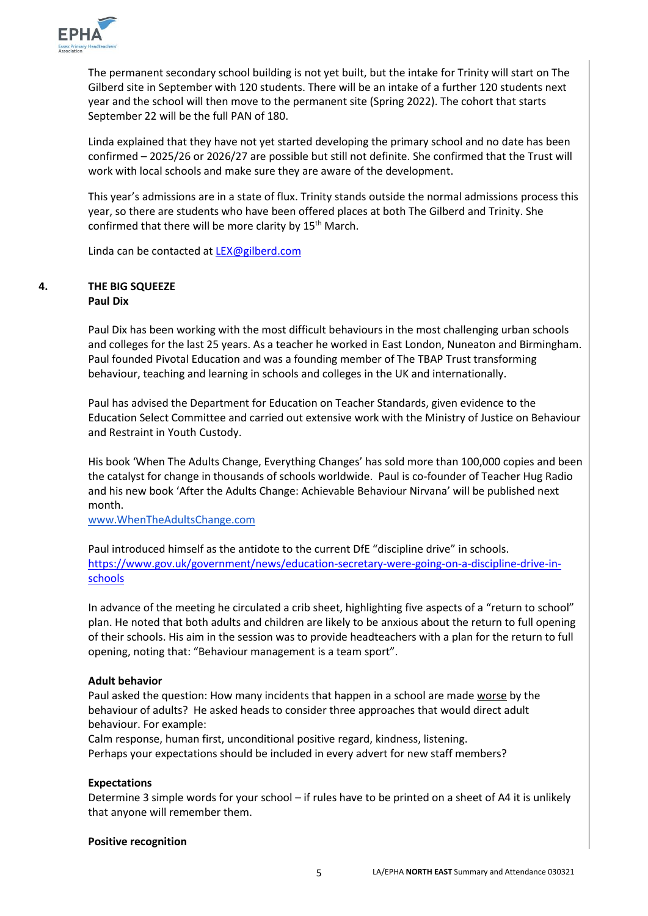

The permanent secondary school building is not yet built, but the intake for Trinity will start on The Gilberd site in September with 120 students. There will be an intake of a further 120 students next year and the school will then move to the permanent site (Spring 2022). The cohort that starts September 22 will be the full PAN of 180.

Linda explained that they have not yet started developing the primary school and no date has been confirmed – 2025/26 or 2026/27 are possible but still not definite. She confirmed that the Trust will work with local schools and make sure they are aware of the development.

This year's admissions are in a state of flux. Trinity stands outside the normal admissions process this year, so there are students who have been offered places at both The Gilberd and Trinity. She confirmed that there will be more clarity by 15<sup>th</sup> March.

Linda can be contacted at [LEX@gilberd.com](mailto:LEX@gilberd.com)

### **4. THE BIG SQUEEZE Paul Dix**

Paul Dix has been working with the most difficult behaviours in the most challenging urban schools and colleges for the last 25 years. As a teacher he worked in East London, Nuneaton and Birmingham. Paul founded Pivotal Education and was a founding member of The TBAP Trust transforming behaviour, teaching and learning in schools and colleges in the UK and internationally.

Paul has advised the Department for Education on Teacher Standards, given evidence to the Education Select Committee and carried out extensive work with the Ministry of Justice on Behaviour and Restraint in Youth Custody.

His book 'When The Adults Change, Everything Changes' has sold more than 100,000 copies and been the catalyst for change in thousands of schools worldwide. Paul is co-founder of Teacher Hug Radio and his new book 'After the Adults Change: Achievable Behaviour Nirvana' will be published next month.

[www.WhenTheAdultsChange.com](http://www.whentheadultschange.com/)

Paul introduced himself as the antidote to the current DfE "discipline drive" in schools. [https://www.gov.uk/government/news/education-secretary-were-going-on-a-discipline-drive-in](https://www.gov.uk/government/news/education-secretary-were-going-on-a-discipline-drive-in-schools)[schools](https://www.gov.uk/government/news/education-secretary-were-going-on-a-discipline-drive-in-schools)

In advance of the meeting he circulated a crib sheet, highlighting five aspects of a "return to school" plan. He noted that both adults and children are likely to be anxious about the return to full opening of their schools. His aim in the session was to provide headteachers with a plan for the return to full opening, noting that: "Behaviour management is a team sport".

#### **Adult behavior**

Paul asked the question: How many incidents that happen in a school are made worse by the behaviour of adults? He asked heads to consider three approaches that would direct adult behaviour. For example:

Calm response, human first, unconditional positive regard, kindness, listening. Perhaps your expectations should be included in every advert for new staff members?

#### **Expectations**

Determine 3 simple words for your school – if rules have to be printed on a sheet of A4 it is unlikely that anyone will remember them.

#### **Positive recognition**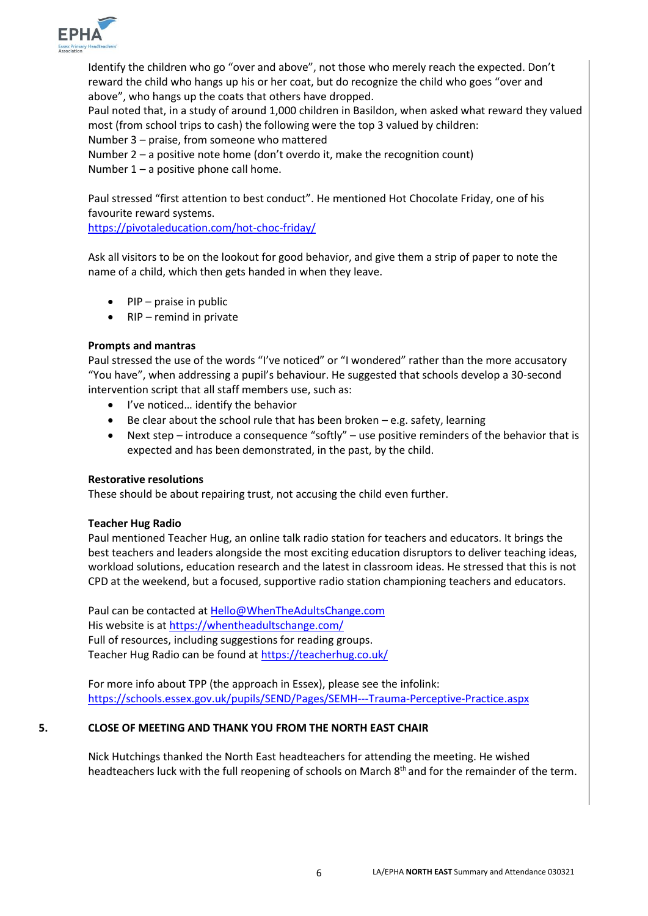

Identify the children who go "over and above", not those who merely reach the expected. Don't reward the child who hangs up his or her coat, but do recognize the child who goes "over and above", who hangs up the coats that others have dropped.

Paul noted that, in a study of around 1,000 children in Basildon, when asked what reward they valued most (from school trips to cash) the following were the top 3 valued by children:

Number 3 – praise, from someone who mattered

Number 2 – a positive note home (don't overdo it, make the recognition count) Number  $1 - a$  positive phone call home.

Paul stressed "first attention to best conduct". He mentioned Hot Chocolate Friday, one of his favourite reward systems.

<https://pivotaleducation.com/hot-choc-friday/>

Ask all visitors to be on the lookout for good behavior, and give them a strip of paper to note the name of a child, which then gets handed in when they leave.

- $\bullet$  PIP praise in public
- $\bullet$  RIP remind in private

#### **Prompts and mantras**

Paul stressed the use of the words "I've noticed" or "I wondered" rather than the more accusatory "You have", when addressing a pupil's behaviour. He suggested that schools develop a 30-second intervention script that all staff members use, such as:

- I've noticed... identify the behavior
- $\bullet$  Be clear about the school rule that has been broken e.g. safety, learning
- Next step introduce a consequence "softly" use positive reminders of the behavior that is expected and has been demonstrated, in the past, by the child.

#### **Restorative resolutions**

These should be about repairing trust, not accusing the child even further.

#### **Teacher Hug Radio**

Paul mentioned Teacher Hug, an online talk radio station for teachers and educators. It brings the best teachers and leaders alongside the most exciting education disruptors to deliver teaching ideas, workload solutions, education research and the latest in classroom ideas. He stressed that this is not CPD at the weekend, but a focused, supportive radio station championing teachers and educators.

Paul can be contacted a[t Hello@WhenTheAdultsChange.com](mailto:Hello@WhenTheAdultsChange.com) His website is a[t https://whentheadultschange.com/](https://whentheadultschange.com/) Full of resources, including suggestions for reading groups. Teacher Hug Radio can be found at<https://teacherhug.co.uk/>

For more info about TPP (the approach in Essex), please see the infolink: <https://schools.essex.gov.uk/pupils/SEND/Pages/SEMH---Trauma-Perceptive-Practice.aspx>

#### **5. CLOSE OF MEETING AND THANK YOU FROM THE NORTH EAST CHAIR**

Nick Hutchings thanked the North East headteachers for attending the meeting. He wished headteachers luck with the full reopening of schools on March 8<sup>th</sup> and for the remainder of the term.